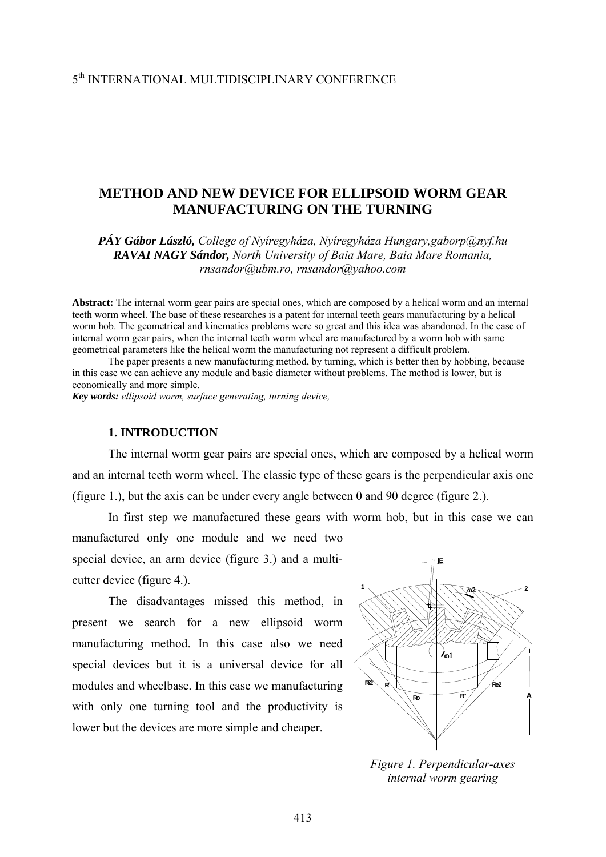# **METHOD AND NEW DEVICE FOR ELLIPSOID WORM GEAR MANUFACTURING ON THE TURNING**

*PÁY Gábor László, College of Nyíregyháza, Nyíregyháza Hungary,gaborp@nyf.hu RAVAI NAGY Sándor, North University of Baia Mare, Baia Mare Romania, rnsandor@ubm.ro, rnsandor@yahoo.com*

**Abstract:** The internal worm gear pairs are special ones, which are composed by a helical worm and an internal teeth worm wheel. The base of these researches is a patent for internal teeth gears manufacturing by a helical worm hob. The geometrical and kinematics problems were so great and this idea was abandoned. In the case of internal worm gear pairs, when the internal teeth worm wheel are manufactured by a worm hob with same geometrical parameters like the helical worm the manufacturing not represent a difficult problem.

 The paper presents a new manufacturing method, by turning, which is better then by hobbing, because in this case we can achieve any module and basic diameter without problems. The method is lower, but is economically and more simple.

*Key words: ellipsoid worm, surface generating, turning device,* 

### **1. INTRODUCTION**

The internal worm gear pairs are special ones, which are composed by a helical worm and an internal teeth worm wheel. The classic type of these gears is the perpendicular axis one (figure 1.), but the axis can be under every angle between 0 and 90 degree (figure 2.).

In first step we manufactured these gears with worm hob, but in this case we can manufactured only one module and we need two special device, an arm device (figure 3.) and a multicutter device (figure 4.). **jE**

The disadvantages missed this method, in present we search for a new ellipsoid worm manufacturing method. In this case also we need special devices but it is a universal device for all modules and wheelbase. In this case we manufacturing with only one turning tool and the productivity is lower but the devices are more simple and cheaper.



*Figure 1. Perpendicular-axes internal worm gearing*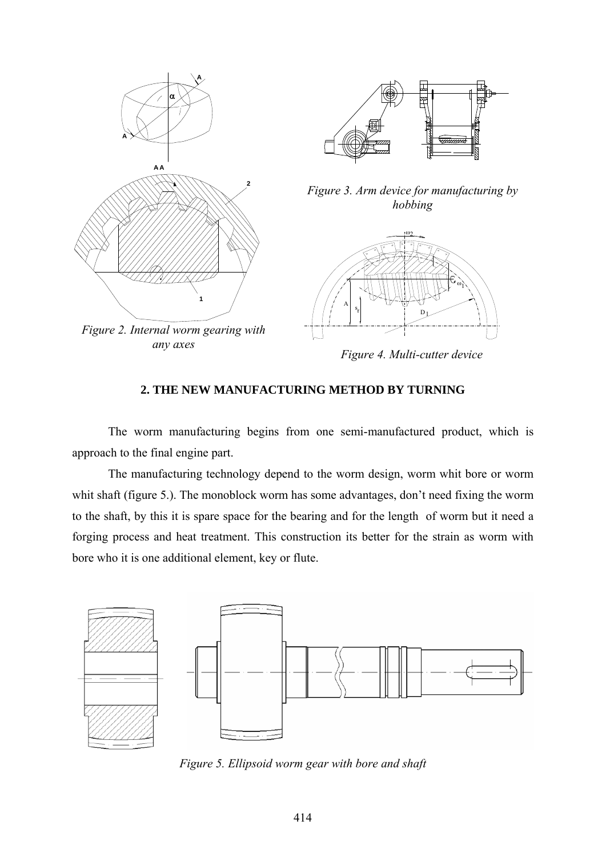

*Figure 4. Multi-cutter device*

## **2. THE NEW MANUFACTURING METHOD BY TURNING**

The worm manufacturing begins from one semi-manufactured product, which is approach to the final engine part.

The manufacturing technology depend to the worm design, worm whit bore or worm whit shaft (figure 5.). The monoblock worm has some advantages, don't need fixing the worm to the shaft, by this it is spare space for the bearing and for the length of worm but it need a forging process and heat treatment. This construction its better for the strain as worm with bore who it is one additional element, key or flute.



*Figure 5. Ellipsoid worm gear with bore and shaft*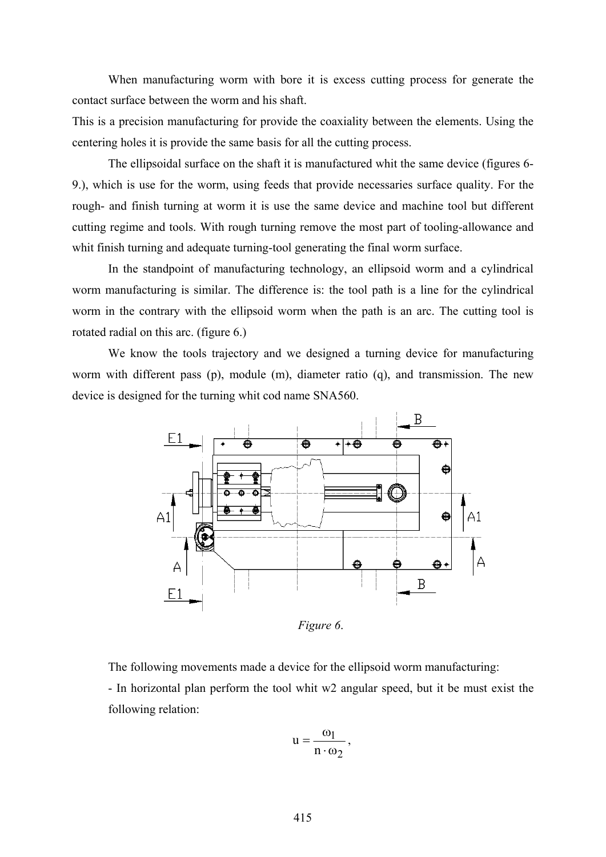When manufacturing worm with bore it is excess cutting process for generate the contact surface between the worm and his shaft.

This is a precision manufacturing for provide the coaxiality between the elements. Using the centering holes it is provide the same basis for all the cutting process.

The ellipsoidal surface on the shaft it is manufactured whit the same device (figures 6- 9.), which is use for the worm, using feeds that provide necessaries surface quality. For the rough- and finish turning at worm it is use the same device and machine tool but different cutting regime and tools. With rough turning remove the most part of tooling-allowance and whit finish turning and adequate turning-tool generating the final worm surface.

In the standpoint of manufacturing technology, an ellipsoid worm and a cylindrical worm manufacturing is similar. The difference is: the tool path is a line for the cylindrical worm in the contrary with the ellipsoid worm when the path is an arc. The cutting tool is rotated radial on this arc. (figure 6.)

We know the tools trajectory and we designed a turning device for manufacturing worm with different pass (p), module (m), diameter ratio (q), and transmission. The new device is designed for the turning whit cod name SNA560.



*Figure 6*.

The following movements made a device for the ellipsoid worm manufacturing:

- In horizontal plan perform the tool whit w2 angular speed, but it be must exist the following relation:

$$
u=\frac{\omega_1}{n\cdot\omega_2}\,,
$$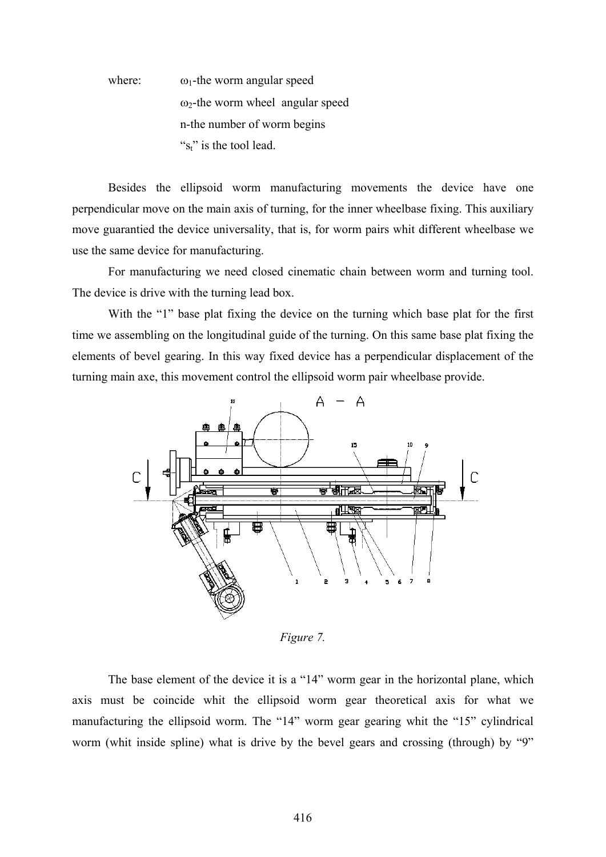where:  $\omega_1$ -the worm angular speed  $\omega_2$ -the worm wheel angular speed n-the number of worm begins " $s_t$ " is the tool lead.

Besides the ellipsoid worm manufacturing movements the device have one perpendicular move on the main axis of turning, for the inner wheelbase fixing. This auxiliary move guarantied the device universality, that is, for worm pairs whit different wheelbase we use the same device for manufacturing.

 For manufacturing we need closed cinematic chain between worm and turning tool. The device is drive with the turning lead box.

 With the "1" base plat fixing the device on the turning which base plat for the first time we assembling on the longitudinal guide of the turning. On this same base plat fixing the elements of bevel gearing. In this way fixed device has a perpendicular displacement of the turning main axe, this movement control the ellipsoid worm pair wheelbase provide.



*Figure 7.* 

The base element of the device it is a "14" worm gear in the horizontal plane, which axis must be coincide whit the ellipsoid worm gear theoretical axis for what we manufacturing the ellipsoid worm. The "14" worm gear gearing whit the "15" cylindrical worm (whit inside spline) what is drive by the bevel gears and crossing (through) by "9"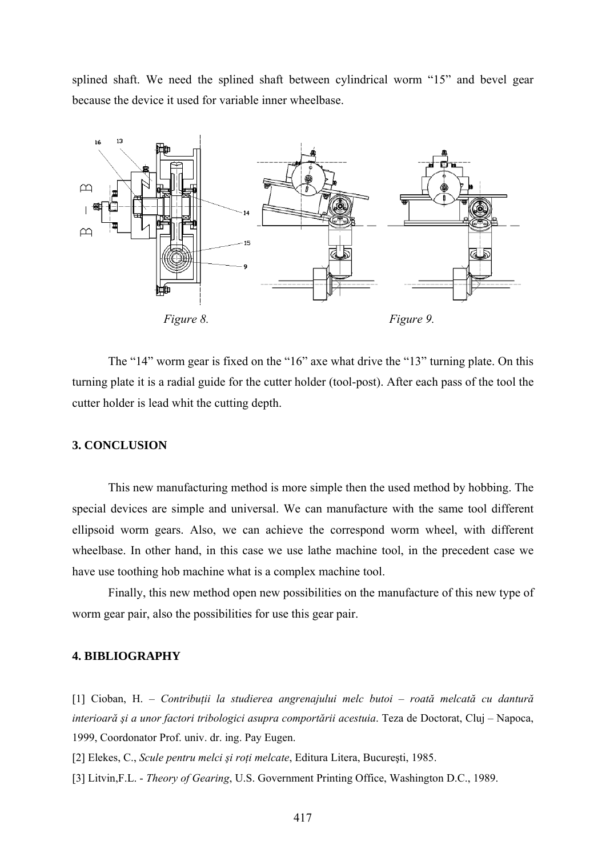splined shaft. We need the splined shaft between cylindrical worm "15" and bevel gear because the device it used for variable inner wheelbase.



 The "14" worm gear is fixed on the "16" axe what drive the "13" turning plate. On this turning plate it is a radial guide for the cutter holder (tool-post). After each pass of the tool the cutter holder is lead whit the cutting depth.

### **3. CONCLUSION**

This new manufacturing method is more simple then the used method by hobbing. The special devices are simple and universal. We can manufacture with the same tool different ellipsoid worm gears. Also, we can achieve the correspond worm wheel, with different wheelbase. In other hand, in this case we use lathe machine tool, in the precedent case we have use toothing hob machine what is a complex machine tool.

Finally, this new method open new possibilities on the manufacture of this new type of worm gear pair, also the possibilities for use this gear pair.

### **4. BIBLIOGRAPHY**

[1] Cioban, H. – *Contribuţii la studierea angrenajului melc butoi – roată melcată cu dantură interioară şi a unor factori tribologici asupra comportării acestuia*. Teza de Doctorat, Cluj – Napoca, 1999, Coordonator Prof. univ. dr. ing. Pay Eugen.

[2] Elekes, C., *Scule pentru melci şi roţi melcate*, Editura Litera, Bucureşti, 1985.

[3] Litvin,F.L. - *Theory of Gearing*, U.S. Government Printing Office, Washington D.C., 1989.